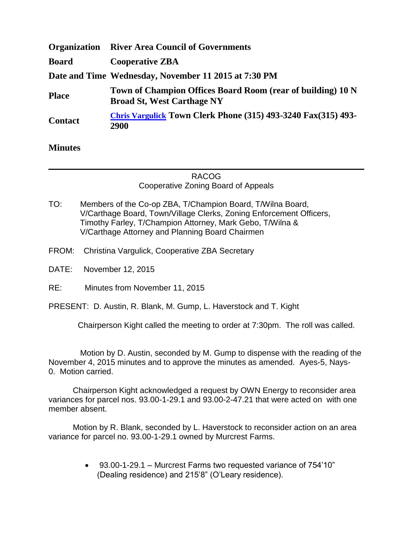| <b>Organization</b> | <b>River Area Council of Governments</b>                                                         |
|---------------------|--------------------------------------------------------------------------------------------------|
| <b>Board</b>        | <b>Cooperative ZBA</b>                                                                           |
|                     | Date and Time Wednesday, November 11 2015 at 7:30 PM                                             |
| <b>Place</b>        | Town of Champion Offices Board Room (rear of building) 10 N<br><b>Broad St, West Carthage NY</b> |
| <b>Contact</b>      | <b>Chris Vargulick Town Clerk Phone (315) 493-3240 Fax(315) 493-</b><br>2900                     |

## **Minutes**

## RACOG Cooperative Zoning Board of Appeals

- TO: Members of the Co-op ZBA, T/Champion Board, T/Wilna Board, V/Carthage Board, Town/Village Clerks, Zoning Enforcement Officers, Timothy Farley, T/Champion Attorney, Mark Gebo, T/Wilna & V/Carthage Attorney and Planning Board Chairmen
- FROM: Christina Vargulick, Cooperative ZBA Secretary
- DATE: November 12, 2015
- RE: Minutes from November 11, 2015

PRESENT: D. Austin, R. Blank, M. Gump, L. Haverstock and T. Kight

Chairperson Kight called the meeting to order at 7:30pm. The roll was called.

 Motion by D. Austin, seconded by M. Gump to dispense with the reading of the November 4, 2015 minutes and to approve the minutes as amended. Ayes-5, Nays-0. Motion carried.

Chairperson Kight acknowledged a request by OWN Energy to reconsider area variances for parcel nos. 93.00-1-29.1 and 93.00-2-47.21 that were acted on with one member absent.

Motion by R. Blank, seconded by L. Haverstock to reconsider action on an area variance for parcel no. 93.00-1-29.1 owned by Murcrest Farms.

> 93.00-1-29.1 – Murcrest Farms two requested variance of 754'10" (Dealing residence) and 215'8" (O'Leary residence).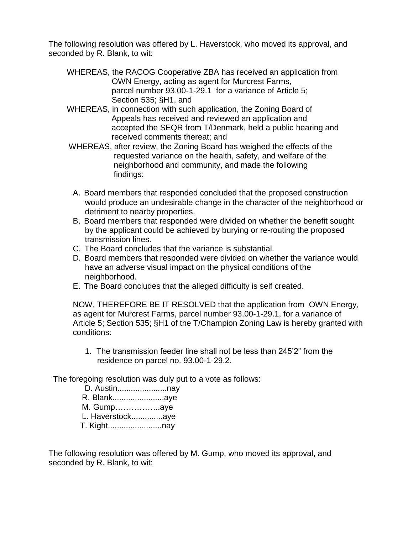The following resolution was offered by L. Haverstock, who moved its approval, and seconded by R. Blank, to wit:

- WHEREAS, the RACOG Cooperative ZBA has received an application from OWN Energy, acting as agent for Murcrest Farms, parcel number 93.00-1-29.1 for a variance of Article 5; Section 535; §H1, and
- WHEREAS, in connection with such application, the Zoning Board of Appeals has received and reviewed an application and accepted the SEQR from T/Denmark, held a public hearing and received comments thereat; and
- WHEREAS, after review, the Zoning Board has weighed the effects of the requested variance on the health, safety, and welfare of the neighborhood and community, and made the following findings:
- A. Board members that responded concluded that the proposed construction would produce an undesirable change in the character of the neighborhood or detriment to nearby properties.
- B. Board members that responded were divided on whether the benefit sought by the applicant could be achieved by burying or re-routing the proposed transmission lines.
- C. The Board concludes that the variance is substantial.
- D. Board members that responded were divided on whether the variance would have an adverse visual impact on the physical conditions of the neighborhood.
- E. The Board concludes that the alleged difficulty is self created.

NOW, THEREFORE BE IT RESOLVED that the application from OWN Energy, as agent for Murcrest Farms, parcel number 93.00-1-29.1, for a variance of Article 5; Section 535; §H1 of the T/Champion Zoning Law is hereby granted with conditions:

1. The transmission feeder line shall not be less than 245'2" from the residence on parcel no. 93.00-1-29.2.

The foregoing resolution was duly put to a vote as follows:

 D. Austin......................nay R. Blank.......................aye M. Gump……………..aye L. Haverstock..............aye T. Kight........................nay

The following resolution was offered by M. Gump, who moved its approval, and seconded by R. Blank, to wit: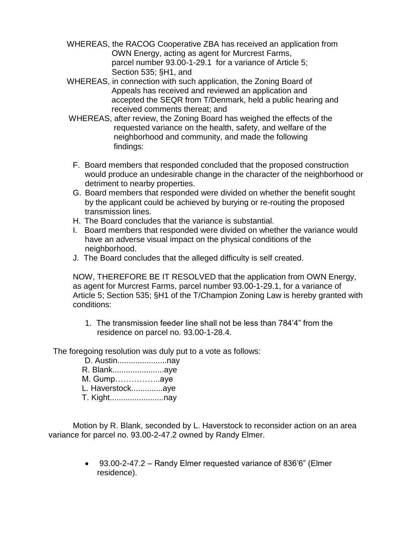- WHEREAS, the RACOG Cooperative ZBA has received an application from OWN Energy, acting as agent for Murcrest Farms, parcel number 93.00-1-29.1 for a variance of Article 5; Section 535; §H1, and
- WHEREAS, in connection with such application, the Zoning Board of Appeals has received and reviewed an application and accepted the SEQR from T/Denmark, held a public hearing and received comments thereat; and
- WHEREAS, after review, the Zoning Board has weighed the effects of the requested variance on the health, safety, and welfare of the neighborhood and community, and made the following findings:
- F. Board members that responded concluded that the proposed construction would produce an undesirable change in the character of the neighborhood or detriment to nearby properties.
- G. Board members that responded were divided on whether the benefit sought by the applicant could be achieved by burying or re-routing the proposed transmission lines.
- H. The Board concludes that the variance is substantial.
- I. Board members that responded were divided on whether the variance would have an adverse visual impact on the physical conditions of the neighborhood.
- J. The Board concludes that the alleged difficulty is self created.

NOW, THEREFORE BE IT RESOLVED that the application from OWN Energy, as agent for Murcrest Farms, parcel number 93.00-1-29.1, for a variance of Article 5; Section 535; §H1 of the T/Champion Zoning Law is hereby granted with conditions:

1. The transmission feeder line shall not be less than 784'4" from the residence on parcel no. 93.00-1-28.4.

The foregoing resolution was duly put to a vote as follows:

- 
- 
- M. Gump.....................aye
- L. Haverstock...............aye
- 

Motion by R. Blank, seconded by L. Haverstock to reconsider action on an area variance for parcel no. 93.00-2-47.2 owned by Randy Elmer.

> 93.00-2-47.2 - Randy Elmer requested variance of 836'6" (Elmer  $\bullet$ residence).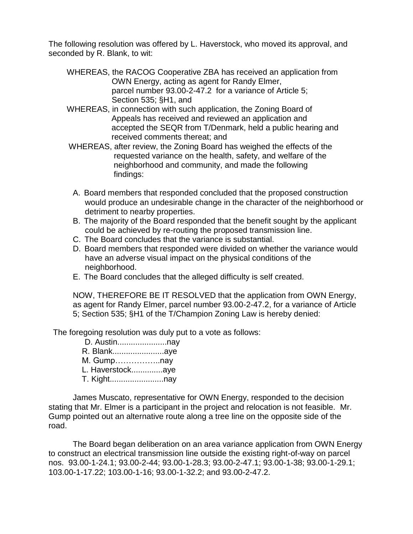The following resolution was offered by L. Haverstock, who moved its approval, and seconded by R. Blank, to wit:

- WHEREAS, the RACOG Cooperative ZBA has received an application from OWN Energy, acting as agent for Randy Elmer, parcel number 93.00-2-47.2 for a variance of Article 5; Section 535; §H1, and
- WHEREAS, in connection with such application, the Zoning Board of Appeals has received and reviewed an application and accepted the SEQR from T/Denmark, held a public hearing and received comments thereat; and
- WHEREAS, after review, the Zoning Board has weighed the effects of the requested variance on the health, safety, and welfare of the neighborhood and community, and made the following findings:
- A. Board members that responded concluded that the proposed construction would produce an undesirable change in the character of the neighborhood or detriment to nearby properties.
- B. The majority of the Board responded that the benefit sought by the applicant could be achieved by re-routing the proposed transmission line.
- C. The Board concludes that the variance is substantial.
- D. Board members that responded were divided on whether the variance would have an adverse visual impact on the physical conditions of the neighborhood.
- E. The Board concludes that the alleged difficulty is self created.

NOW, THEREFORE BE IT RESOLVED that the application from OWN Energy, as agent for Randy Elmer, parcel number 93.00-2-47.2, for a variance of Article 5; Section 535; §H1 of the T/Champion Zoning Law is hereby denied:

The foregoing resolution was duly put to a vote as follows:

| D. Austinnay     |  |
|------------------|--|
| R. Blankaye      |  |
| M. Gumpnay       |  |
| L. Haverstockaye |  |
| T. Kightnay      |  |

James Muscato, representative for OWN Energy, responded to the decision stating that Mr. Elmer is a participant in the project and relocation is not feasible. Mr. Gump pointed out an alternative route along a tree line on the opposite side of the road.

The Board began deliberation on an area variance application from OWN Energy to construct an electrical transmission line outside the existing right-of-way on parcel nos. 93.00-1-24.1; 93.00-2-44; 93.00-1-28.3; 93.00-2-47.1; 93.00-1-38; 93.00-1-29.1; 103.00-1-17.22; 103.00-1-16; 93.00-1-32.2; and 93.00-2-47.2.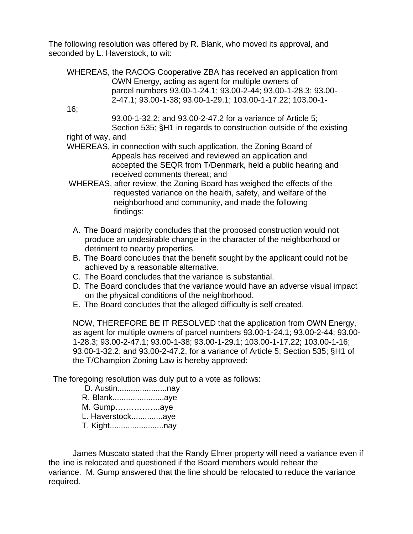The following resolution was offered by R. Blank, who moved its approval, and seconded by L. Haverstock, to wit:

WHEREAS, the RACOG Cooperative ZBA has received an application from OWN Energy, acting as agent for multiple owners of parcel numbers 93.00-1-24.1; 93.00-2-44; 93.00-1-28.3; 93.00- 2-47.1; 93.00-1-38; 93.00-1-29.1; 103.00-1-17.22; 103.00-1-

16;

 93.00-1-32.2; and 93.00-2-47.2 for a variance of Article 5; Section 535; §H1 in regards to construction outside of the existing

right of way, and

- WHEREAS, in connection with such application, the Zoning Board of Appeals has received and reviewed an application and accepted the SEQR from T/Denmark, held a public hearing and received comments thereat; and
- WHEREAS, after review, the Zoning Board has weighed the effects of the requested variance on the health, safety, and welfare of the neighborhood and community, and made the following findings:
- A. The Board majority concludes that the proposed construction would not produce an undesirable change in the character of the neighborhood or detriment to nearby properties.
- B. The Board concludes that the benefit sought by the applicant could not be achieved by a reasonable alternative.
- C. The Board concludes that the variance is substantial.
- D. The Board concludes that the variance would have an adverse visual impact on the physical conditions of the neighborhood.
- E. The Board concludes that the alleged difficulty is self created.

NOW, THEREFORE BE IT RESOLVED that the application from OWN Energy, as agent for multiple owners of parcel numbers 93.00-1-24.1; 93.00-2-44; 93.00- 1-28.3; 93.00-2-47.1; 93.00-1-38; 93.00-1-29.1; 103.00-1-17.22; 103.00-1-16; 93.00-1-32.2; and 93.00-2-47.2, for a variance of Article 5; Section 535; §H1 of the T/Champion Zoning Law is hereby approved:

The foregoing resolution was duly put to a vote as follows:

 D. Austin......................nay R. Blank.......................aye M. Gump……………..aye L. Haverstock..............aye T. Kight........................nay

James Muscato stated that the Randy Elmer property will need a variance even if the line is relocated and questioned if the Board members would rehear the variance. M. Gump answered that the line should be relocated to reduce the variance required.